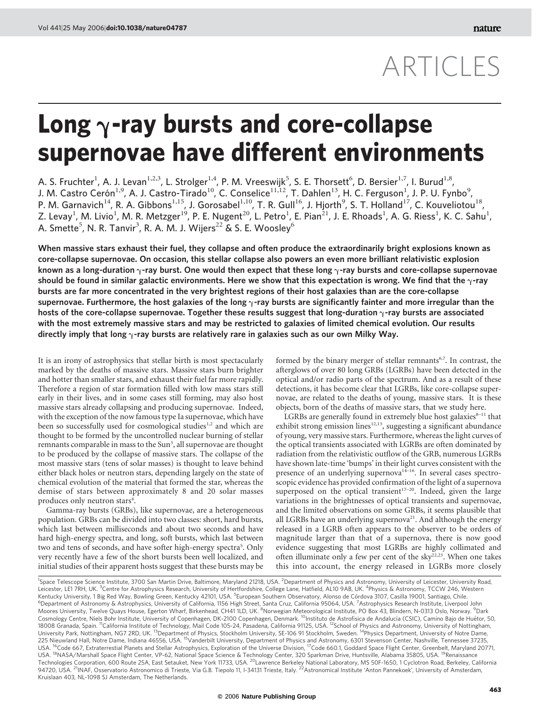# ARTICLES

## Long  $\gamma$ -ray bursts and core-collapse supernovae have different environments

A. S. Fruchter<sup>1</sup>, A. J. Levan<sup>1,2,3</sup>, L. Strolger<sup>1,4</sup>, P. M. Vreeswijk<sup>5</sup>, S. E. Thorsett<sup>6</sup>, D. Bersier<sup>1,7</sup>, I. Burud<sup>1,8</sup>, J. M. Castro Cerón $^{1,9}$ , A. J. Castro-Tirado $^{10}$ , C. Conselice $^{11,12}$ , T. Dahlen $^{13}$ , H. C. Ferguson $^1$ , J. P. U. Fynbo $^9$ , P. M. Garnavich<sup>14</sup>, R. A. Gibbons<sup>1,15</sup>, J. Gorosabel<sup>1,10</sup>, T. R. Gull<sup>16</sup>, J. Hjorth<sup>9</sup>, S. T. Holland<sup>17</sup>, C. Kouveliotou<sup>18</sup>, Z. Levay<sup>1</sup>, M. Livio<sup>1</sup>, M. R. Metzger<sup>19</sup>, P. E. Nugent<sup>20</sup>, L. Petro<sup>1</sup>, E. Pian<sup>21</sup>, J. E. Rhoads<sup>1</sup>, A. G. Riess<sup>1</sup>, K. C. Sahu<sup>1</sup>, A. Smette<sup>5</sup>, N. R. Tanvir<sup>3</sup>, R. A. M. J. Wijers<sup>22</sup> & S. E. Woosley<sup>6</sup>

When massive stars exhaust their fuel, they collapse and often produce the extraordinarily bright explosions known as core-collapse supernovae. On occasion, this stellar collapse also powers an even more brilliant relativistic explosion known as a long-duration  $\gamma$ -ray burst. One would then expect that these long  $\gamma$ -ray bursts and core-collapse supernovae should be found in similar galactic environments. Here we show that this expectation is wrong. We find that the  $\gamma$ -ray bursts are far more concentrated in the very brightest regions of their host galaxies than are the core-collapse supernovae. Furthermore, the host galaxies of the long  $\gamma$ -ray bursts are significantly fainter and more irregular than the hosts of the core-collapse supernovae. Together these results suggest that long-duration  $\gamma$ -ray bursts are associated with the most extremely massive stars and may be restricted to galaxies of limited chemical evolution. Our results directly imply that long  $\gamma$ -ray bursts are relatively rare in galaxies such as our own Milky Way.

It is an irony of astrophysics that stellar birth is most spectacularly marked by the deaths of massive stars. Massive stars burn brighter and hotter than smaller stars, and exhaust their fuel far more rapidly. Therefore a region of star formation filled with low mass stars still early in their lives, and in some cases still forming, may also host massive stars already collapsing and producing supernovae. Indeed, with the exception of the now famous type Ia supernovae, which have been so successfully used for cosmological studies<sup>1,2</sup> and which are thought to be formed by the uncontrolled nuclear burning of stellar remnants comparable in mass to the Sun<sup>3</sup>, all supernovae are thought to be produced by the collapse of massive stars. The collapse of the most massive stars (tens of solar masses) is thought to leave behind either black holes or neutron stars, depending largely on the state of chemical evolution of the material that formed the star, whereas the demise of stars between approximately 8 and 20 solar masses produces only neutron stars<sup>4</sup>.

Gamma-ray bursts (GRBs), like supernovae, are a heterogeneous population. GRBs can be divided into two classes: short, hard bursts, which last between milliseconds and about two seconds and have hard high-energy spectra, and long, soft bursts, which last between two and tens of seconds, and have softer high-energy spectra<sup>5</sup>. Only very recently have a few of the short bursts been well localized, and initial studies of their apparent hosts suggest that these bursts may be formed by the binary merger of stellar remnants $6,7$ . In contrast, the afterglows of over 80 long GRBs (LGRBs) have been detected in the optical and/or radio parts of the spectrum. And as a result of these detections, it has become clear that LGRBs, like core-collapse supernovae, are related to the deaths of young, massive stars. It is these objects, born of the deaths of massive stars, that we study here.

LGRBs are generally found in extremely blue host galaxies $8-11$  that exhibit strong emission lines $12,13$ , suggesting a significant abundance of young, very massive stars. Furthermore, whereas the light curves of the optical transients associated with LGRBs are often dominated by radiation from the relativistic outflow of the GRB, numerous LGRBs have shown late-time 'bumps' in their light curves consistent with the presence of an underlying supernova<sup>14–16</sup>. In several cases spectroscopic evidence has provided confirmation of the light of a supernova superposed on the optical transient<sup>17-20</sup>. Indeed, given the large variations in the brightnesses of optical transients and supernovae, and the limited observations on some GRBs, it seems plausible that all LGRBs have an underlying supernova<sup>21</sup>. And although the energy released in a LGRB often appears to the observer to be orders of magnitude larger than that of a supernova, there is now good evidence suggesting that most LGRBs are highly collimated and often illuminate only a few per cent of the  $sky^{22,23}$ . When one takes this into account, the energy released in LGRBs more closely

<sup>1</sup>Space Telescope Science Institute, 3700 San Martin Drive, Baltimore, Maryland 21218, USA. <sup>2</sup>Department of Physics and Astronomy, University of Leicester, University Road, Leicester, LE1 7RH, UK. <sup>3</sup>Centre for Astrophysics Research, University of Hertfordshire, College Lane, Hatfield, AL10 9AB, UK. <sup>4</sup>Physics & Astronomy, TCCW 246, Western Kentucky University, 1 Big Red Way, Bowling Green, Kentucky 42101, USA. <sup>5</sup>European Southern Observatory, Alonso de Córdova 3107, Casilla 19001, Santiago, Chile.<br><sup>6</sup>Dopartment of Astronomy & Astrophysics University of Cali Department of Astronomy & Astrophysics, University of California, 1156 High Street, Santa Cruz, California 95064, USA. <sup>7</sup>Astrophysics Research Institute, Liverpool John Moores University, Twelve Quays House, Egerton Wharf, Birkenhead, CH41 ILD, UK. <sup>8</sup>Norwegian Meteorological Institute, PO Box 43, Blindern, N-0313 Oslo, Norway. <sup>9</sup>Dark Cosmology Centre, Niels Bohr Institute, University of Copenhagen, DK-2100 Copenhagen, Denmark.<sup>10</sup>Instituto de Astrofísica de Andalucía (CSIC), Camino Bajo de Huétor, 50, 18008 Granada, Spain. 11California Institute of Technology, Mail Code 105-24, Pasadena, California 91125, USA. 12School of Physics and Astronomy, University of Nottingham, University Park, Nottingham, NG7 2RD, UK. <sup>13</sup>Department of Physics, Stockholm University, SE-106 91 Stockholm, Sweden. <sup>14</sup>Physics Department, University of Notre Dame, 225 Nieuwland Hall, Notre Dame, Indiana 46556, USA. 15Vanderbilt University, Department of Physics and Astronomy, 6301 Stevenson Center, Nashville, Tennessee 37235, USA. <sup>16</sup>Code 667, Extraterrestial Planets and Stellar Astrophysics, Exploration of the Universe Division, <sup>17</sup>Code 660.1, Goddard Space Flight Center, Greenbelt, Maryland 20771, USA. <sup>18</sup>NASA/Marshall Space Flight Center, VP-62, National Space Science & Technology Center, 320 Sparkman Drive, Huntsville, Alabama 35805, USA. <sup>19</sup>Renaissance Technologies Corporation, 600 Route 25A, East Setauket, New York 11733, USA. <sup>20</sup>Lawrence Berkeley National Laboratory, MS 50F-1650, 1 Cyclotron Road, Berkeley, California 94720, USA. <sup>21</sup>INAF, Osservatorio Astronomico di Trieste, Via G.B. Tiepolo 11, I-34131 Trieste, Italy. <sup>22</sup>Astronomical Institute 'Anton Pannekoek', University of Amsterdam, Kruislaan 403, NL-1098 SJ Amsterdam, The Netherlands.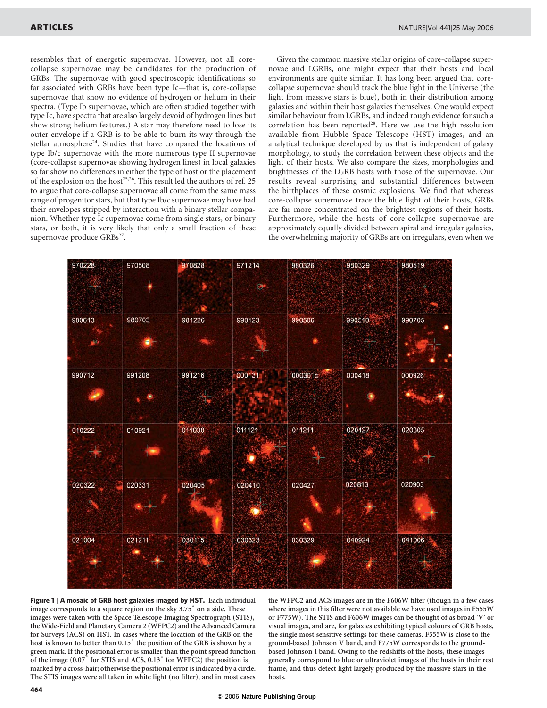resembles that of energetic supernovae. However, not all corecollapse supernovae may be candidates for the production of GRBs. The supernovae with good spectroscopic identifications so far associated with GRBs have been type Ic—that is, core-collapse supernovae that show no evidence of hydrogen or helium in their spectra. (Type Ib supernovae, which are often studied together with type Ic, have spectra that are also largely devoid of hydrogen lines but show strong helium features.) A star may therefore need to lose its outer envelope if a GRB is to be able to burn its way through the stellar atmosphere<sup>24</sup>. Studies that have compared the locations of type Ib/c supernovae with the more numerous type II supernovae (core-collapse supernovae showing hydrogen lines) in local galaxies so far show no differences in either the type of host or the placement of the explosion on the host<sup>25,26</sup>. This result led the authors of ref. 25 to argue that core-collapse supernovae all come from the same mass range of progenitor stars, but that type Ib/c supernovae may have had their envelopes stripped by interaction with a binary stellar companion. Whether type Ic supernovae come from single stars, or binary stars, or both, it is very likely that only a small fraction of these supernovae produce GRBs<sup>27</sup>.

Given the common massive stellar origins of core-collapse supernovae and LGRBs, one might expect that their hosts and local environments are quite similar. It has long been argued that corecollapse supernovae should track the blue light in the Universe (the light from massive stars is blue), both in their distribution among galaxies and within their host galaxies themselves. One would expect similar behaviour from LGRBs, and indeed rough evidence for such a correlation has been reported<sup>28</sup>. Here we use the high resolution available from Hubble Space Telescope (HST) images, and an analytical technique developed by us that is independent of galaxy morphology, to study the correlation between these objects and the light of their hosts. We also compare the sizes, morphologies and brightnesses of the LGRB hosts with those of the supernovae. Our results reveal surprising and substantial differences between the birthplaces of these cosmic explosions. We find that whereas core-collapse supernovae trace the blue light of their hosts, GRBs are far more concentrated on the brightest regions of their hosts. Furthermore, while the hosts of core-collapse supernovae are approximately equally divided between spiral and irregular galaxies, the overwhelming majority of GRBs are on irregulars, even when we



Figure 1 | A mosaic of GRB host galaxies imaged by HST. Each individual image corresponds to a square region on the sky  $3.75''$  on a side. These images were taken with the Space Telescope Imaging Spectrograph (STIS), the Wide-Field and Planetary Camera 2 (WFPC2) and the Advanced Camera for Surveys (ACS) on HST. In cases where the location of the GRB on the host is known to better than  $0.15''$  the position of the GRB is shown by a green mark. If the positional error is smaller than the point spread function of the image  $(0.07<sup>''</sup>$  for STIS and ACS,  $0.13<sup>''</sup>$  for WFPC2) the position is marked by a cross-hair; otherwise the positional error is indicated by a circle. The STIS images were all taken in white light (no filter), and in most cases

the WFPC2 and ACS images are in the F606W filter (though in a few cases where images in this filter were not available we have used images in F555W or F775W). The STIS and F606W images can be thought of as broad 'V' or visual images, and are, for galaxies exhibiting typical colours of GRB hosts, the single most sensitive settings for these cameras. F555W is close to the ground-based Johnson V band, and F775W corresponds to the groundbased Johnson I band. Owing to the redshifts of the hosts, these images generally correspond to blue or ultraviolet images of the hosts in their rest frame, and thus detect light largely produced by the massive stars in the hosts.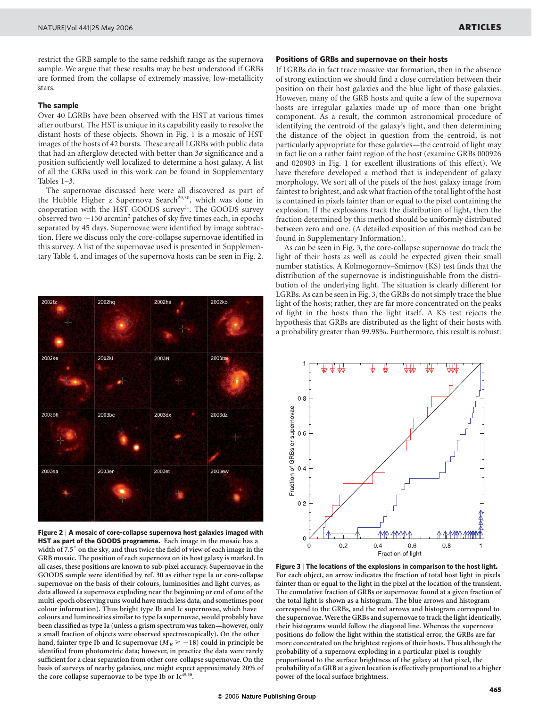restrict the GRB sample to the same redshift range as the supernova sample. We argue that these results may be best understood if GRBs are formed from the collapse of extremely massive, low-metallicity stars.

## The sample

Over 40 LGRBs have been observed with the HST at various times after outburst. The HST is unique in its capability easily to resolve the distant hosts of these objects. Shown in Fig. 1 is a mosaic of HST images of the hosts of 42 bursts. These are all LGRBs with public data that had an afterglow detected with better than  $3\sigma$  significance and a position sufficiently well localized to determine a host galaxy. A list of all the GRBs used in this work can be found in Supplementary Tables 1–3.

The supernovae discussed here were all discovered as part of the Hubble Higher z Supernova Search<sup>29,30</sup>, which was done in cooperation with the HST GOODS survey<sup>31</sup>. The GOODS survey observed two  $\sim$ 150 arcmin<sup>2</sup> patches of sky five times each, in epochs separated by 45 days. Supernovae were identified by image subtraction. Here we discuss only the core-collapse supernovae identified in this survey. A list of the supernovae used is presented in Supplementary Table 4, and images of the supernova hosts can be seen in Fig. 2.





## Positions of GRBs and supernovae on their hosts

If LGRBs do in fact trace massive star formation, then in the absence of strong extinction we should find a close correlation between their position on their host galaxies and the blue light of those galaxies. However, many of the GRB hosts and quite a few of the supernova hosts are irregular galaxies made up of more than one bright component. As a result, the common astronomical procedure of identifying the centroid of the galaxy's light, and then determining the distance of the object in question from the centroid, is not particularly appropriate for these galaxies—the centroid of light may in fact lie on a rather faint region of the host (examine GRBs 000926 and 020903 in Fig. 1 for excellent illustrations of this effect). We have therefore developed a method that is independent of galaxy morphology. We sort all of the pixels of the host galaxy image from faintest to brightest, and ask what fraction of the total light of the host is contained in pixels fainter than or equal to the pixel containing the explosion. If the explosions track the distribution of light, then the fraction determined by this method should be uniformly distributed between zero and one. (A detailed exposition of this method can be found in Supplementary Information).

As can be seen in Fig. 3, the core-collapse supernovae do track the light of their hosts as well as could be expected given their small number statistics. A Kolmogornov–Smirnov (KS) test finds that the distribution of the supernovae is indistinguishable from the distribution of the underlying light. The situation is clearly different for LGRBs. As can be seen in Fig. 3, the GRBs do not simply trace the blue light of the hosts; rather, they are far more concentrated on the peaks of light in the hosts than the light itself. A KS test rejects the hypothesis that GRBs are distributed as the light of their hosts with a probability greater than 99.98%. Furthermore, this result is robust:



Figure 3 | The locations of the explosions in comparison to the host light. For each object, an arrow indicates the fraction of total host light in pixels fainter than or equal to the light in the pixel at the location of the transient. The cumulative fraction of GRBs or supernovae found at a given fraction of the total light is shown as a histogram. The blue arrows and histogram correspond to the GRBs, and the red arrows and histogram correspond to the supernovae. Were the GRBs and supernovae to track the light identically, their histograms would follow the diagonal line. Whereas the supernova positions do follow the light within the statistical error, the GRBs are far more concentrated on the brightest regions of their hosts. Thus although the probability of a supernova exploding in a particular pixel is roughly proportional to the surface brightness of the galaxy at that pixel, the probability of a GRB at a given location is effectively proportional to a higher power of the local surface brightness.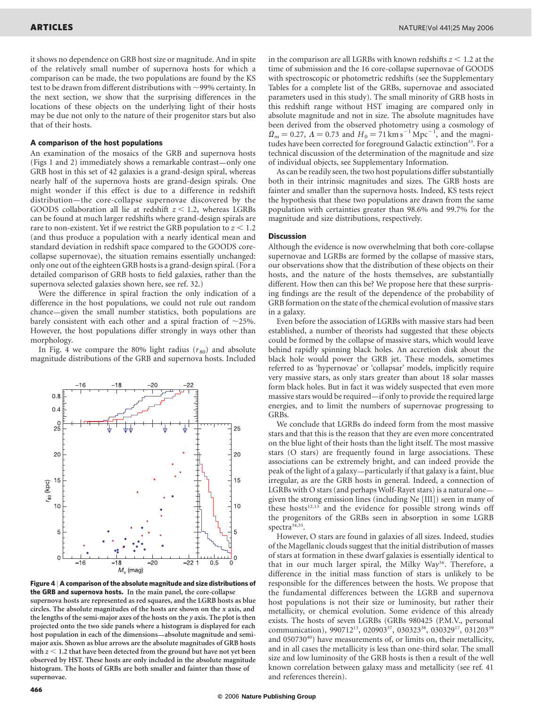it shows no dependence on GRB host size or magnitude. And in spite of the relatively small number of supernova hosts for which a comparison can be made, the two populations are found by the KS test to be drawn from different distributions with  $\sim$ 99% certainty. In the next section, we show that the surprising differences in the locations of these objects on the underlying light of their hosts may be due not only to the nature of their progenitor stars but also that of their hosts.

## A comparison of the host populations

An examination of the mosaics of the GRB and supernova hosts (Figs 1 and 2) immediately shows a remarkable contrast—only one GRB host in this set of 42 galaxies is a grand-design spiral, whereas nearly half of the supernova hosts are grand-design spirals. One might wonder if this effect is due to a difference in redshift distribution—the core-collapse supernovae discovered by the GOODS collaboration all lie at redshift  $z < 1.2$ , whereas LGRBs can be found at much larger redshifts where grand-design spirals are rare to non-existent. Yet if we restrict the GRB population to  $z < 1.2$ (and thus produce a population with a nearly identical mean and standard deviation in redshift space compared to the GOODS corecollapse supernovae), the situation remains essentially unchanged: only one out of the eighteen GRB hosts is a grand-design spiral. (For a detailed comparison of GRB hosts to field galaxies, rather than the supernova selected galaxies shown here, see ref. 32.)

Were the difference in spiral fraction the only indication of a difference in the host populations, we could not rule out random chance—given the small number statistics, both populations are barely consistent with each other and a spiral fraction of  $\sim$ 25%. However, the host populations differ strongly in ways other than morphology.

In Fig. 4 we compare the 80% light radius  $(r_{80})$  and absolute magnitude distributions of the GRB and supernova hosts. Included



Figure 4 | A comparison of the absolute magnitude and size distributions of the GRB and supernova hosts. In the main panel, the core-collapse supernova hosts are represented as red squares, and the LGRB hosts as blue circles. The absolute magnitudes of the hosts are shown on the  $x$  axis, and the lengths of the semi-major axes of the hosts on the  $y$  axis. The plot is then projected onto the two side panels where a histogram is displayed for each host population in each of the dimensions—absolute magnitude and semimajor axis. Shown as blue arrows are the absolute magnitudes of GRB hosts with  $z < 1.2$  that have been detected from the ground but have not yet been observed by HST. These hosts are only included in the absolute magnitude histogram. The hosts of GRBs are both smaller and fainter than those of supernovae.

in the comparison are all LGRBs with known redshifts  $z < 1.2$  at the time of submission and the 16 core-collapse supernovae of GOODS with spectroscopic or photometric redshifts (see the Supplementary Tables for a complete list of the GRBs, supernovae and associated parameters used in this study). The small minority of GRB hosts in this redshift range without HST imaging are compared only in absolute magnitude and not in size. The absolute magnitudes have been derived from the observed photometry using a cosmology of  $\Omega_m = 0.27$ ,  $\Lambda = 0.73$  and  $H_0 = 71 \text{ km s}^{-1} \text{ Mpc}^{-1}$ , and the magnitudes have been corrected for foreground Galactic extinction<sup>33</sup>. For a technical discussion of the determination of the magnitude and size of individual objects, see Supplementary Information.

As can be readily seen, the two host populations differ substantially both in their intrinsic magnitudes and sizes. The GRB hosts are fainter and smaller than the supernova hosts. Indeed, KS tests reject the hypothesis that these two populations are drawn from the same population with certainties greater than 98.6% and 99.7% for the magnitude and size distributions, respectively.

## **Discussion**

Although the evidence is now overwhelming that both core-collapse supernovae and LGRBs are formed by the collapse of massive stars, our observations show that the distribution of these objects on their hosts, and the nature of the hosts themselves, are substantially different. How then can this be? We propose here that these surprising findings are the result of the dependence of the probability of GRB formation on the state of the chemical evolution of massive stars in a galaxy.

Even before the association of LGRBs with massive stars had been established, a number of theorists had suggested that these objects could be formed by the collapse of massive stars, which would leave behind rapidly spinning black holes. An accretion disk about the black hole would power the GRB jet. These models, sometimes referred to as 'hypernovae' or 'collapsar' models, implicitly require very massive stars, as only stars greater than about 18 solar masses form black holes. But in fact it was widely suspected that even more massive stars would be required—if only to provide the required large energies, and to limit the numbers of supernovae progressing to GRBs.

We conclude that LGRBs do indeed form from the most massive stars and that this is the reason that they are even more concentrated on the blue light of their hosts than the light itself. The most massive stars (O stars) are frequently found in large associations. These associations can be extremely bright, and can indeed provide the peak of the light of a galaxy—particularly if that galaxy is a faint, blue irregular, as are the GRB hosts in general. Indeed, a connection of LGRBs with O stars (and perhaps Wolf-Rayet stars) is a natural one given the strong emission lines (including Ne [III]) seen in many of these hosts $12,13$  and the evidence for possible strong winds off the progenitors of the GRBs seen in absorption in some LGRB spectra<sup>34,35</sup>.

However, O stars are found in galaxies of all sizes. Indeed, studies of the Magellanic clouds suggest that the initial distribution of masses of stars at formation in these dwarf galaxies is essentially identical to that in our much larger spiral, the Milky Way<sup>36</sup>. Therefore, a difference in the initial mass function of stars is unlikely to be responsible for the differences between the hosts. We propose that the fundamental differences between the LGRB and supernova host populations is not their size or luminosity, but rather their metallicity, or chemical evolution. Some evidence of this already exists. The hosts of seven LGRBs (GRBs 980425 (P.M.V., personal communication), 990712<sup>13</sup>, 020903<sup>37</sup>, 030323<sup>38</sup>, 030329<sup>17</sup>, 031203<sup>39</sup> and 050730<sup>40</sup>) have measurements of, or limits on, their metallicity, and in all cases the metallicity is less than one-third solar. The small size and low luminosity of the GRB hosts is then a result of the well known correlation between galaxy mass and metallicity (see ref. 41 and references therein).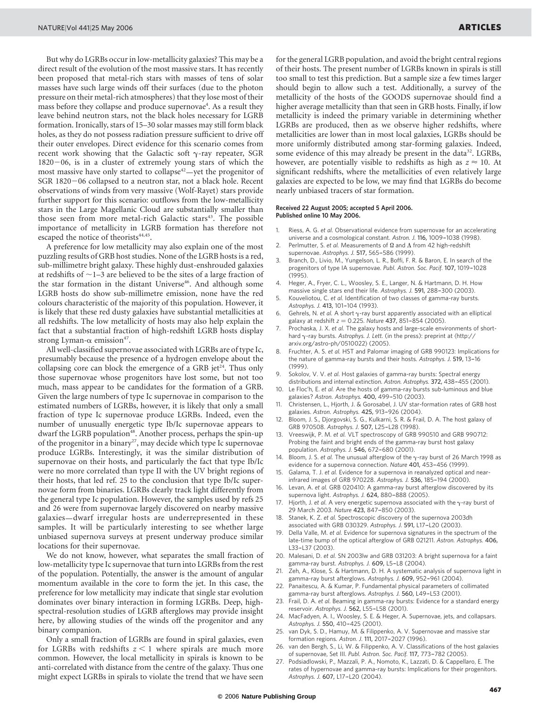But why do LGRBs occur in low-metallicity galaxies? This may be a direct result of the evolution of the most massive stars. It has recently been proposed that metal-rich stars with masses of tens of solar masses have such large winds off their surfaces (due to the photon pressure on their metal-rich atmospheres) that they lose most of their mass before they collapse and produce supernovae<sup>4</sup>. As a result they leave behind neutron stars, not the black holes necessary for LGRB formation. Ironically, stars of 15–30 solar masses may still form black holes, as they do not possess radiation pressure sufficient to drive off their outer envelopes. Direct evidence for this scenario comes from recent work showing that the Galactic soft  $\gamma$ -ray repeater, SGR  $1820-06$ , is in a cluster of extremely young stars of which the most massive have only started to collapse<sup>42</sup>—yet the progenitor of SGR 1820-06 collapsed to a neutron star, not a black hole. Recent observations of winds from very massive (Wolf-Rayet) stars provide further support for this scenario: outflows from the low-metallicity stars in the Large Magellanic Cloud are substantially smaller than those seen from more metal-rich Galactic stars<sup>43</sup>. The possible importance of metallicity in LGRB formation has therefore not escaped the notice of theorists<sup>44,45</sup>.

A preference for low metallicity may also explain one of the most puzzling results of GRB host studies. None of the LGRB hosts is a red, sub-millimetre bright galaxy. These highly dust-enshrouded galaxies at redshifts of  $\sim$  1–3 are believed to be the sites of a large fraction of the star formation in the distant Universe<sup>46</sup>. And although some LGRB hosts do show sub-millimetre emission, none have the red colours characteristic of the majority of this population. However, it is likely that these red dusty galaxies have substantial metallicities at all redshifts. The low metallicity of hosts may also help explain the fact that a substantial fraction of high-redshift LGRB hosts display strong Lyman- $\alpha$  emission<sup>47</sup>.

All well-classified supernovae associated with LGRBs are of type Ic, presumably because the presence of a hydrogen envelope about the collapsing core can block the emergence of a GRB jet<sup>24</sup>. Thus only those supernovae whose progenitors have lost some, but not too much, mass appear to be candidates for the formation of a GRB. Given the large numbers of type Ic supernovae in comparison to the estimated numbers of LGRBs, however, it is likely that only a small fraction of type Ic supernovae produce LGRBs. Indeed, even the number of unusually energetic type Ib/Ic supernovae appears to dwarf the LGRB population<sup>48</sup>. Another process, perhaps the spin-up of the progenitor in a binary<sup>27</sup>, may decide which type Ic supernovae produce LGRBs. Interestingly, it was the similar distribution of supernovae on their hosts, and particularly the fact that type Ib/Ic were no more correlated than type II with the UV bright regions of their hosts, that led ref. 25 to the conclusion that type Ib/Ic supernovae form from binaries. LGRBs clearly track light differently from the general type Ic population. However, the samples used by refs 25 and 26 were from supernovae largely discovered on nearby massive galaxies—dwarf irregular hosts are underrepresented in these samples. It will be particularly interesting to see whether large unbiased supernova surveys at present underway produce similar locations for their supernovae.

We do not know, however, what separates the small fraction of low-metallicity type Ic supernovae that turn into LGRBs from the rest of the population. Potentially, the answer is the amount of angular momentum available in the core to form the jet. In this case, the preference for low metallicity may indicate that single star evolution dominates over binary interaction in forming LGRBs. Deep, highspectral-resolution studies of LGRB afterglows may provide insight here, by allowing studies of the winds off the progenitor and any binary companion.

Only a small fraction of LGRBs are found in spiral galaxies, even for LGRBs with redshifts  $z < 1$  where spirals are much more common. However, the local metallicity in spirals is known to be anti-correlated with distance from the centre of the galaxy. Thus one might expect LGRBs in spirals to violate the trend that we have seen

for the general LGRB population, and avoid the bright central regions of their hosts. The present number of LGRBs known in spirals is still too small to test this prediction. But a sample size a few times larger should begin to allow such a test. Additionally, a survey of the metallicity of the hosts of the GOODS supernovae should find a higher average metallicity than that seen in GRB hosts. Finally, if low metallicity is indeed the primary variable in determining whether LGRBs are produced, then as we observe higher redshifts, where metallicities are lower than in most local galaxies, LGRBs should be more uniformly distributed among star-forming galaxies. Indeed, some evidence of this may already be present in the data<sup>32</sup>. LGRBs, however, are potentially visible to redshifts as high as  $z \approx 10$ . At significant redshifts, where the metallicities of even relatively large galaxies are expected to be low, we may find that LGRBs do become nearly unbiased tracers of star formation.

### Received 22 August 2005; accepted 5 April 2006. Published online 10 May 2006.

- 1. Riess, A. G. et al. Observational evidence from supernovae for an accelerating universe and a cosmological constant. Astron. J. 116, 1009-1038 (1998).
- 2. Perlmutter, S. et al. Measurements of  $\Omega$  and  $\Lambda$  from 42 high-redshift supernovae. Astrophys. J. 517, 565-586 (1999).
- 3. Branch, D., Livio, M., Yungelson, L. R., Boffi, F. R. & Baron, E. In search of the progenitors of type IA supernovae. Publ. Astron. Soc. Pacif. 107, 1019-1028 (1995).
- 4. Heger, A., Fryer, C. L., Woosley, S. E., Langer, N. & Hartmann, D. H. How massive single stars end their life. Astrophys. J. 591, 288-300 (2003).
- 5. Kouveliotou, C. et al. Identification of two classes of gamma-ray bursts. Astrophys. J. 413, 101-104 (1993).
- Gehrels, N. et al. A short  $\gamma$ -ray burst apparently associated with an elliptical galaxy at redshift  $z = 0.225$ . Nature 437, 851-854 (2005).
- 7. Prochaska, J. X. et al. The galaxy hosts and large-scale environments of shorthard  $\gamma$ -ray bursts. Astrophys. J. Lett. (in the press): preprint at  $\langle$ http:// arxiv.org/astro-ph/0510022) (2005).
- 8. Fruchter, A. S. et al. HST and Palomar imaging of GRB 990123: Implications for the nature of gamma-ray bursts and their hosts. Astrophys. J. 519, 13–-16 (1999).
- 9. Sokolov, V. V. et al. Host galaxies of gamma-ray bursts: Spectral energy distributions and internal extinction. Astron. Astrophys. 372, 438-455 (2001).
- Le Floc'h, E. et al. Are the hosts of gamma-ray bursts sub-luminous and blue galaxies? Astron. Astrophys. 400, 499–-510 (2003).
- 11. Christensen, L., Hjorth, J. & Gorosabel, J. UV star-formation rates of GRB host galaxies. Astron. Astrophys. 425, 913-926 (2004).
- Bloom, J. S., Djorgovski, S. G., Kulkarni, S. R. & Frail, D. A. The host galaxy of GRB 970508. Astrophys. J. 507, L25–-L28 (1998).
- 13. Vreeswijk, P. M. et al. VLT spectroscopy of GRB 990510 and GRB 990712: Probing the faint and bright ends of the gamma-ray burst host galaxy population. Astrophys. J. 546, 672-680 (2001).
- Bloom, J. S. et al. The unusual afterglow of the  $\gamma$ -ray burst of 26 March 1998 as evidence for a supernova connection. Nature 401, 453-456 (1999).
- 15. Galama, T. J. et al. Evidence for a supernova in reanalyzed optical and nearinfrared images of GRB 970228. Astrophys. J. 536, 185–-194 (2000).
- Levan, A. et al. GRB 020410: A gamma-ray burst afterglow discovered by its supernova light. Astrophys. J. 624, 880-888 (2005).
- Hjorth, J. et al. A very energetic supernova associated with the  $\gamma$ -ray burst of 29 March 2003. Nature 423, 847-850 (2003).
- 18. Stanek, K. Z. et al. Spectroscopic discovery of the supernova 2003dh associated with GRB 030329. Astrophys. J. 591, L17–-L20 (2003).
- 19. Della Valle, M. et al. Evidence for supernova signatures in the spectrum of the late-time bump of the optical afterglow of GRB 021211. Astron. Astrophys. 406, L33-L37 (2003).
- 20. Malesani, D. et al. SN 2003lw and GRB 031203: A bright supernova for a faint gamma-ray burst. Astrophys. J. 609, L5-L8 (2004).
- Zeh, A., Klose, S. & Hartmann, D. H. A systematic analysis of supernova light in gamma-ray burst afterglows. Astrophys. J. 609, 952-961 (2004).
- 22. Panaitescu, A. & Kumar, P. Fundamental physical parameters of collimated gamma-ray burst afterglows. Astrophys. J. 560, L49-L53 (2001).
- 23. Frail, D. A. et al. Beaming in gamma-ray bursts: Evidence for a standard energy reservoir. Astrophys. J. 562, L55-L58 (2001).
- 24. MacFadyen, A. I., Woosley, S. E. & Heger, A. Supernovae, jets, and collapsars. Astrophys. J. 550, 410-425 (2001).
- 25. van Dyk, S. D., Hamuy, M. & Filippenko, A. V. Supernovae and massive star formation regions. Astron. J. 111, 2017-2027 (1996).
- 26. van den Bergh, S., Li, W. & Filippenko, A. V. Classifications of the host galaxies of supernovae, Set III. Publ. Astron. Soc. Pacif. 117, 773-782 (2005).
- 27. Podsiadlowski, P., Mazzali, P. A., Nomoto, K., Lazzati, D. & Cappellaro, E. The rates of hypernovae and gamma-ray bursts: Implications for their progenitors. Astrophys. J. 607, L17-L20 (2004).